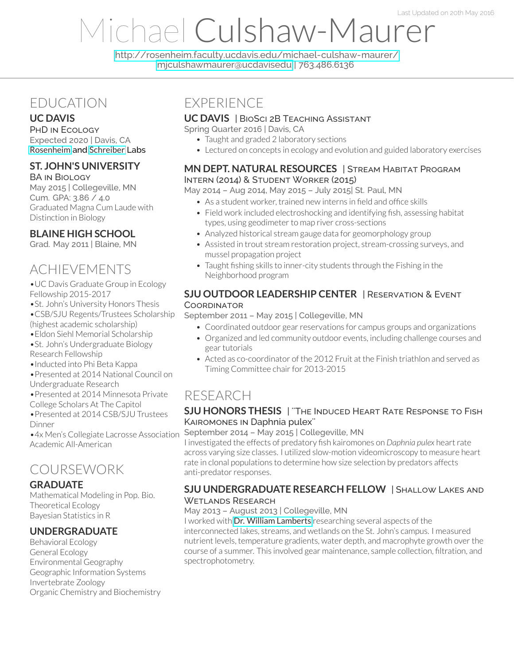# Michael Culshaw-Maurer

<http://rosenheim.faculty.ucdavis.edu/michael-culshaw-maurer/> [mjculshawmaurer@ucdavisedu](mailto:mjculshawmaurer@ucdavisedu) | 763.486.6136

## EDUCATION

#### **UC DAVIS**

PHD IN ECOLOGY Expected 2020 | Davis, CA [Rosenheim](http://rosenheim.faculty.ucdavis.edu/) and [Schreiber](http://www.eve.ucdavis.edu/sschreiber/) Labs

#### **ST. JOHN'S UNIVERSITY**

BA IN BIOLOGY May 2015 | Collegeville, MN Cum. GPA: 3.86 / 4.0 Graduated Magna Cum Laude with Distinction in Biology

#### **BLAINE HIGH SCHOOL**

Grad. May 2011 | Blaine, MN

# ACHIEVEMENTS

•UC Davis Graduate Group in Ecology Fellowship 2015-2017

- •St. John's University Honors Thesis •CSB/SJU Regents/Trustees Scholarship
- (highest academic scholarship)
- •Eldon Siehl Memorial Scholarship
- •St. John's Undergraduate Biology Research Fellowship
- •Inducted into Phi Beta Kappa
- •Presented at 2014 National Council on
- Undergraduate Research
- •Presented at 2014 Minnesota Private
- College Scholars At The Capitol
- •Presented at 2014 CSB/SJU Trustees Dinner

•4x Men's Collegiate Lacrosse Association Academic All-American

# COURSEWORK

#### **GRADUATE**

Mathematical Modeling in Pop. Bio. Theoretical Ecology Bayesian Statistics in R

#### **UNDERGRADUATE**

Behavioral Ecology General Ecology Environmental Geography Geographic Information Systems Invertebrate Zoology Organic Chemistry and Biochemistry

## EXPERIENCE

#### **UC DAVIS** | BIOSCI 2B TEACHING ASSISTANT

Spring Quarter 2016 | Davis, CA

- Taught and graded 2 laboratory sections
- Lectured on concepts in ecology and evolution and guided laboratory exercises

#### **MN DEPT. NATURAL RESOURCES** | STREAM HABITAT PROGRAM INTERN (2014) & STUDENT WORKER (2015)

May 2014 – Aug 2014, May 2015 – July 2015| St. Paul, MN

- As a student worker, trained new interns in field and office skills
- Field work included electroshocking and identifying fish, assessing habitat types, using geodimeter to map river cross-sections
- Analyzed historical stream gauge data for geomorphology group
- Assisted in trout stream restoration project, stream-crossing surveys, and mussel propagation project
- Taught fishing skills to inner-city students through the Fishing in the Neighborhood program

#### **SJU OUTDOOR LEADERSHIP CENTER** | RESERVATION & EVENT **COORDINATOR**

#### September 2011 – May 2015 | Collegeville, MN

- Coordinated outdoor gear reservations for campus groups and organizations
- Organized and led community outdoor events, including challenge courses and gear tutorials
- Acted as co-coordinator of the 2012 Fruit at the Finish triathlon and served as Timing Committee chair for 2013-2015

# RESEARCH

#### **SJU HONORS THESIS** | ''THE INDUCED HEART RATE RESPONSE TO FISH KAIROMONES IN Daphnia pulex''

#### September 2014 – May 2015 | Collegeville, MN

I investigated the effects of predatory fish kairomones on *Daphnia pulex* heartrate across varying size classes. I utilized slow-motion videomicroscopy to measure heart rate in clonal populations to determine how size selection by predators affects anti-predator responses.

#### **SJU UNDERGRADUATE RESEARCH FELLOW** | SHALLOW LAKES AND WETLANDS RESEARCH

#### May 2013 – August 2013 | Collegeville, MN

I worked with Dr. William [Lamberts](https://www.csbsju.edu/biology/faculty/william-lamberts) researching several aspects of the interconnected lakes, streams, and wetlands on the St. John's campus. I measured nutrient levels, temperature gradients, water depth, and macrophyte growth overthe course of a summer. This involved gear maintenance, sample collection, filtration, and spectrophotometry.